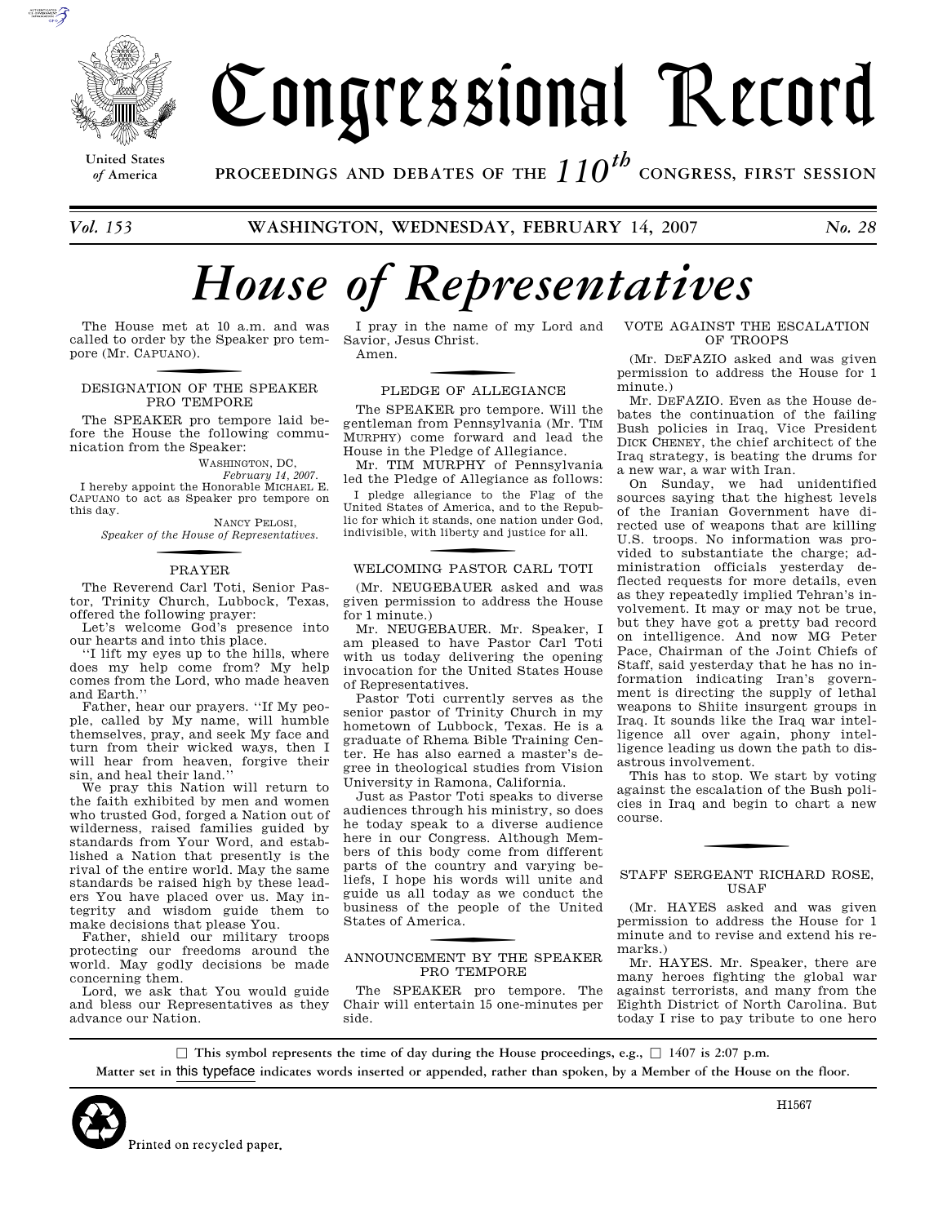

# Congressional Record

**United States**

*of* **America PROCEEDINGS AND DEBATES OF THE** *110th*  **CONGRESS, FIRST SESSION**

*Vol. 153* **WASHINGTON, WEDNESDAY, FEBRUARY 14, 2007** *No. 28* 

# *House of Representatives*

The House met at 10 a.m. and was called to order by the Speaker pro tempore (Mr. CAPUANO ).

#### DESIGNATION OF THE SPEAKER PRO TEMPORE

The SPEAKER pro tempore laid before the House the following communication from the Speaker:

WASHINGTON, DC,

*February 14, 2007.*  I hereby appoint the Honorable MICHAEL E. CAPUANO to act as Speaker pro tempore on this day.

NANCY PELOSI, *Speaker of the House of Representatives.* 

# f PRAYER

The Reverend Carl Toti, Senior Pastor, Trinity Church, Lubbock, Texas, offered the following prayer:

Let's welcome God's presence into our hearts and into this place.

''I lift my eyes up to the hills, where does my help come from? My help comes from the Lord, who made heaven and Earth.''

Father, hear our prayers. ''If My people, called by My name, will humble themselves, pray, and seek My face and turn from their wicked ways, then I will hear from heaven, forgive their sin, and heal their land.''

We pray this Nation will return to the faith exhibited by men and women who trusted God, forged a Nation out of wilderness, raised families guided by standards from Your Word, and established a Nation that presently is the rival of the entire world. May the same standards be raised high by these leaders You have placed over us. May integrity and wisdom guide them to make decisions that please You.

Father, shield our military troops protecting our freedoms around the world. May godly decisions be made concerning them.

Lord, we ask that You would guide and bless our Representatives as they advance our Nation.

Savior, Jesus Christ. Amen.

PLEDGE OF ALLEGIANCE

The SPEAKER pro tempore. Will the gentleman from Pennsylvania (Mr. TIM MURPHY) come forward and lead the House in the Pledge of Allegiance.

Mr. TIM MURPHY of Pennsylvania led the Pledge of Allegiance as follows:

I pledge allegiance to the Flag of the United States of America, and to the Republic for which it stands, one nation under God, indivisible, with liberty and justice for all.

# WELCOMING PASTOR CARL TOTI

(Mr. NEUGEBAUER asked and was given permission to address the House for 1 minute.)

Mr. NEUGEBAUER. Mr. Speaker, I am pleased to have Pastor Carl Toti with us today delivering the opening invocation for the United States House of Representatives.

Pastor Toti currently serves as the senior pastor of Trinity Church in my hometown of Lubbock, Texas. He is a graduate of Rhema Bible Training Center. He has also earned a master's degree in theological studies from Vision University in Ramona, California.

Just as Pastor Toti speaks to diverse audiences through his ministry, so does he today speak to a diverse audience here in our Congress. Although Members of this body come from different parts of the country and varying beliefs, I hope his words will unite and guide us all today as we conduct the business of the people of the United States of America.

#### ANNOUNCEMENT BY THE SPEAKER PRO TEMPORE

The SPEAKER pro tempore. The Chair will entertain 15 one-minutes per side.

I pray in the name of my Lord and VOTE AGAINST THE ESCALATION OF TROOPS

> (Mr. DEFAZIO asked and was given permission to address the House for 1 minute.)

> Mr. DEFAZIO. Even as the House debates the continuation of the failing Bush policies in Iraq, Vice President DICK CHENEY, the chief architect of the Iraq strategy, is beating the drums for a new war, a war with Iran.

> On Sunday, we had unidentified sources saying that the highest levels of the Iranian Government have directed use of weapons that are killing U.S. troops. No information was provided to substantiate the charge; administration officials yesterday deflected requests for more details, even as they repeatedly implied Tehran's involvement. It may or may not be true, but they have got a pretty bad record on intelligence. And now MG Peter Pace, Chairman of the Joint Chiefs of Staff, said yesterday that he has no information indicating Iran's government is directing the supply of lethal weapons to Shiite insurgent groups in Iraq. It sounds like the Iraq war intelligence all over again, phony intelligence leading us down the path to disastrous involvement.

> This has to stop. We start by voting against the escalation of the Bush policies in Iraq and begin to chart a new course.

#### STAFF SERGEANT RICHARD ROSE, USAF

(Mr. HAYES asked and was given permission to address the House for 1 minute and to revise and extend his remarks.)

Mr. HAYES. Mr. Speaker, there are many heroes fighting the global war against terrorists, and many from the Eighth District of North Carolina. But today I rise to pay tribute to one hero

 $\Box$  This symbol represents the time of day during the House proceedings, e.g.,  $\Box$  1407 is 2:07 p.m. **Matter set in** this typeface **indicates words inserted or appended, rather than spoken, by a Member of the House on the floor.**